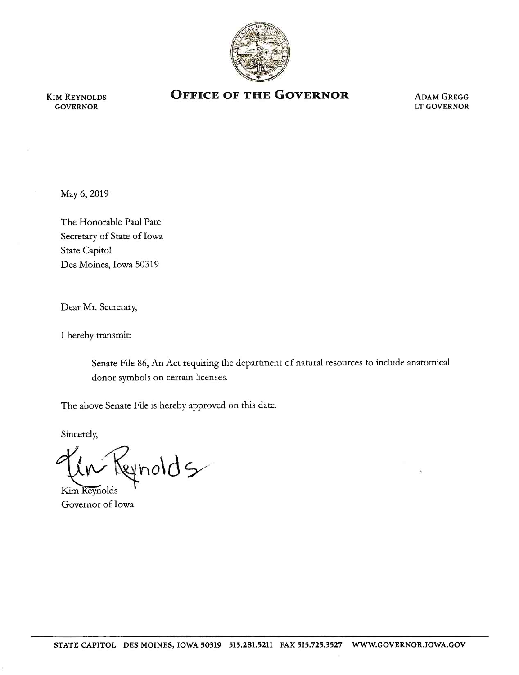

KIM REYNOLDS GOVERNOR

## **OFFICE OF THE GOVERNOR** ADAM GREGG

LT GOVERNOR

May 6, 2019

The Honorable Paul Pate Secretary of State of Iowa State Capitol Des Moines, Iowa 50319

Dear Mr. Secretary,

I hereby transmit:

Senate File 86, An Act requiring the department of natural resources to include anatomical donor symbols on certain licenses.

The above Senate File is hereby approved on this date.

Sincerely,

gnolds

Kim Reynolds Governor of Iowa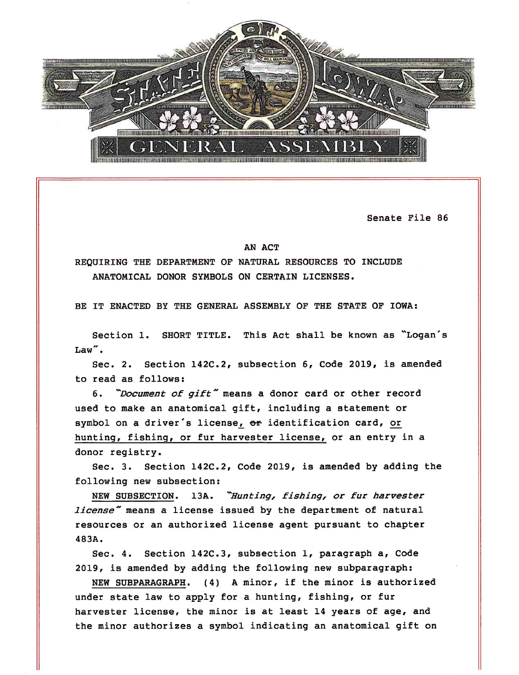

Senate File 86

## AN ACT

REQUIRING THE DEPARTMENT OF NATURAL RESOURCES TO INCLUDE ANATOMICAL DONOR SYMBOLS ON CERTAIN LICENSES.

BE IT ENACTED BY THE GENERAL ASSEMBLY OF THE STATE OF IOWA:

Section 1. SHORT TITLE. This Act shall be known as "Logan's  $Law''$ .

Sec. *2.* Section 142C.2, subsection 6, Code 2019, is amended to read as follows:

6. *"Document of gift"* means a donor card or other record used to make an anatomical gift, including a statement or symbol on a driver's license, or identification card, or hunting, fishing, or fur harvester license, or an entry in <sup>a</sup> donor registry.

Sec. 3. Section 142C.2, Code 2019, is amended by adding the following new subsection:

NEW SUBSECTION. 13A. *-Hunting, fishing, or fur harvester license*" means a license issued by the department of natural resources or an authorized license agent pursuant to chapter 483A.

Sec. 4. Section 142C.3, subsection 1, paragraph a, Code 2019, is amended by adding the following new subparagraph:

NEW SUBPARAGRAPH. (4) A minor, if the minor is authorized under state law to apply for a hunting, fishing, or fur harvester license, the minor is at least 14 years of age, and the minor authorizes a symbol indicating an anatomical gift on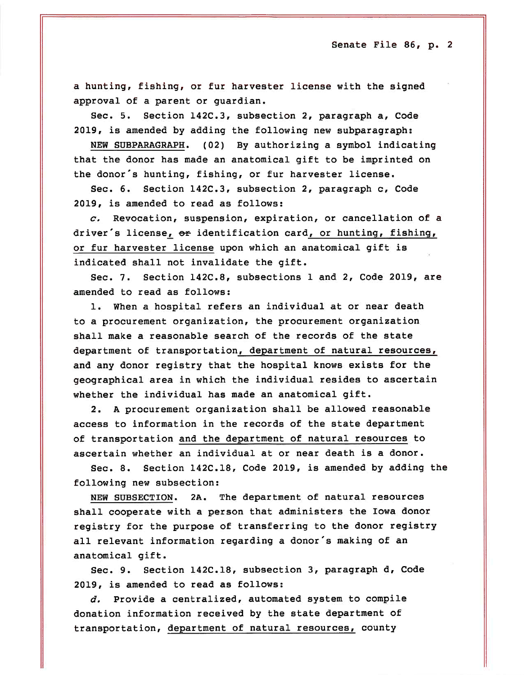Senate File 86, p. 2

a hunting, fishing, or fur harvester license with the signed approval of a parent or guardian.

Sec. 5. Section 142C.3, subsection 2, paragraph a, Code 2019, is amended by adding the following new subparagraph:

NEW SUBPARAGRAPH. (02) By authorizing a symbol indicating that the donor has made an anatomical gift to be imprinted on the donor's hunting, fishing, or fur harvester license.

Sec. 6. Section 142C.3, subsection 2, paragraph c, Code 2019, is amended to read as follows:

*c,* Revocation, suspension, expiration, or cancellation of a driver's license, or identification card, or hunting, fishing, or fur harvester license upon which an anatomical gift is indicated shall not invalidate the gift.

Sec. 7. Section 142C.8, subsections 1 and 2, Code 2019, are amended to read as follows:

1. When a hospital refers an individual at or near death to a procurement organization, the procurement organization shall make a reasonable search of the records of the state department of transportation, department of natural resources, and any donor registry that the hospital knows exists for the geographical area in which the individual resides to ascertain whether the individual has made an anatomical gift.

2. A procurement organization shall be allowed reasonable access to information in the records of the state department of transportation and the department of natural resources to ascertain whether an individual at or near death is a donor.

Sec. a. Section 142C.18, Code 2019, is amended by adding the following new subsection:

NEW SUBSECTION. 2A. The department of natural resources shall cooperate with a person that administers the Iowa donor registry for the purpose of transferring to the donor registry all relevant information regarding a donor's making of an anatomical gift.

Sec. 9. Section 142C.18, subsection 3, paragraph d, Code 2019, is amended to read as follows:

*d.* Provide a centralized, automated system to compile donation information received by the state department of transportation, department of natural resources, county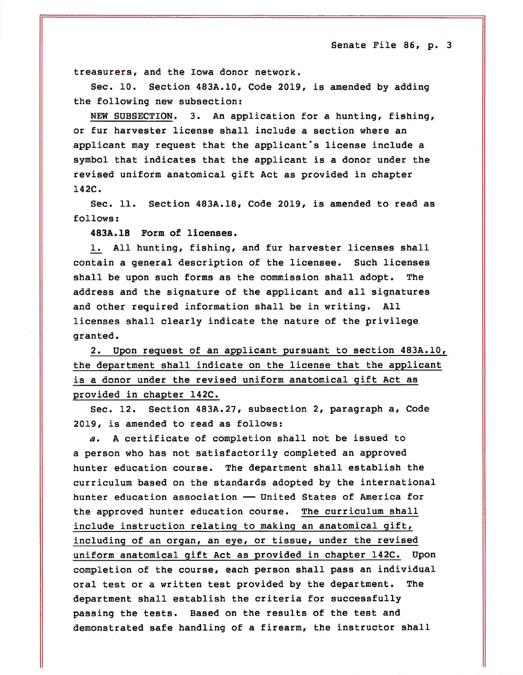Senate File 86, p. 3

treasurers, and the Iowa donor network .

Sec. 10. Section 483A.10, Code 2019, is amended by adding the following new subsection:

NEW SUBSECTION. 3. An application for a hunting, fishing, or fur harvester license shall include a section where an applicant may request that the applicant's license include a symbol that indicates that the applicant is a donor under the revised uniform anatomical gift Act as provided in chapter 142C.

Sec. 11. Section 483A.18, Code 2019, is amended to read as follows:

483A.18 Form of licenses.

1. All hunting, fishing, and fur harvester licenses shall contain a general description of the licensee. Such licenses shall be upon such forms as the *commission* shall adopt. The address and the signature of the applicant and all signatures and other required information shall be in writing. All licenses shall clearly indicate the nature of the privilege granted.

2. Upon request of an applicant pursuant to section 483A.10, the department shall indicate on the license that the applicant is a donor under the revised uniform anatomical gift Act as provided *in* chapter 142C.

Sec. 12. Section 483A.27, subsection 2, paragraph a, Code 2019, *is* amended to read as follows:

*a.* A certificate of completion shall not be issued to a person who has not satisfactorily completed an approved hunter education course. The department shall establish the curriculum based on the standards adopted by the international hunter education association - United States of America for the approved hunter education course. The curriculum shall include instruction relating to making an anatomical gift, including of an organ, an eye, or tissue, under the revised uniform anatomical gift Act as provided in chapter 142C. Upon completion of the course, each person shall pass an individual oral test or a written test provided by the department. The department shall establish the criteria for successfully passing the tests. Based on the results of the test and demonstrated safe handling of a firearm, the instructor shall